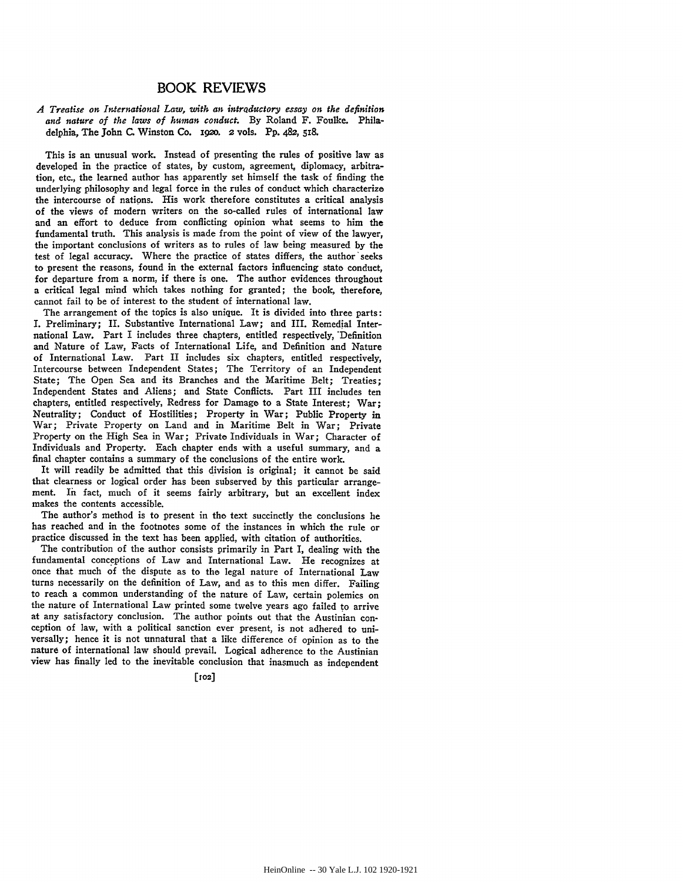## BOOK REVIEWS

## *A Treatise on International Law, with an intrQductory essay on the definition and nature of the laws of human conduct.* **By** Roland F. Foulke. Philadelphia, The John **C.** Winston Co. **1920.** 2 **vols.** Pp. 482, **518.**

This is an unusual work. Instead of presenting the rules of positive law as developed in the practice of states, **by** custom, agreement, diplomacy, arbitration, etc., the learned author has apparently set himself the task of finding the underlying philosophy and legal force in the rules of conduct which characterize the intercourse of nations. His work therefore constitutes a critical analysis of the views of modern writers on the so-called rules of international law and an effort to deduce from conflicting opinion what seems to him the fundamental truth. This analysis is made from the point of view of the lawyer, the important conclusions of writers as to rules of law being measured **by** the test of legal accuracy. Where the practice of states differs, the author'seeks to present the reasons, found in the external factors influencing state conduct, for departure from a norm, if there is one. The author evidences throughout a critical legal mind which takes nothing for granted; the book, therefore, cannot fail **to** be of interest to the student of international law.

The arrangement of the topics is also unique. It is divided into three parts: **I.** Preliminary; **II.** Substantive International Law; and III. Remedial International Law. Part I includes three chapters, entitled respectively, 'Definition and Nature of Law, Facts of International Life, and Definition and Nature of International Law. Part II includes six chapters, entitled respectively, Intercourse between Independent States; The Territory of an Independent State; The Open Sea and its Branches and the Maritime Belt; Treaties; Independent States and Aliens; and State Conflicts. Part III includes ten chapters, entitled respectively, Redress for Damage to a State Interest; War; Neutrality; Conduct of Hostilities; Property in War; Public Property in War; Private Property on Land and in Maritime Belt in War; Private Property on the High Sea in War; Private Individuals in War; Character of Individuals and Property. Each chapter ends with a useful summary, and a final chapter contains a summary of the conclusions of the entire work.

It will readily be admitted that this division is original; it cannot be said that clearness or logical order has been subserved **by** this particular arrangement. In fact, much of it seems fairly arbitrary, but an excellent index makes the contents accessible.

The author's method is to present in the text succinctly the conclusions he has reached and in the footnotes some of the instances in which the rule or practice discussed in the text has been applied, with citation of authorities.

The contribution of the author consists primarily in Part **I,** dealing with the fundamental conceptions of Law and International Law. He recognizes at once that much of the dispute as to the legal nature of International Law turns necessarily on the definition of Law, and as to this men differ. Failing to reach a common understanding of the nature of Law, certain polemics on the nature of International Law printed some twelve years ago failed to arrive at any satisfactory conclusion. The author points out that the Austinian conception of law, with a political sanction ever present, is not adhered to universally; hence it is not unnatural that a like difference of opinion as to the nature of international law should prevail. Logical adherence to the Austinian view has finally led to the inevitable conclusion that inasmuch as independent

**[102]**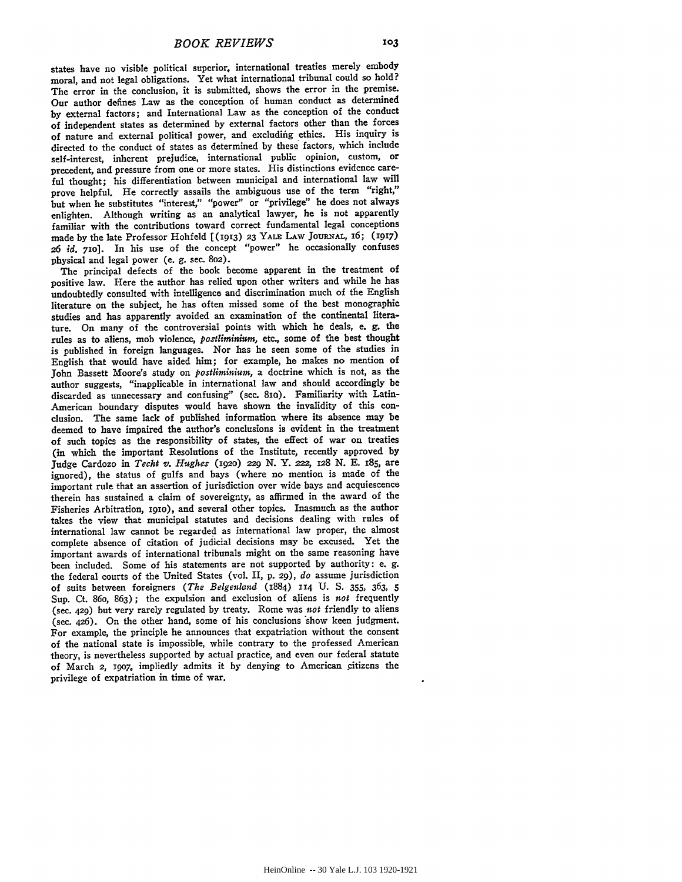states have no visible political superior, international treaties merely embody moral, and not legal obligations. Yet what international tribunal could so hold? The error in the conclusion, it is submitted, shows the error in the premise. Our author defines Law as the conception of human conduct as determined **by** external factors; and International Law as the conception of the conduct of independent states as determined **by** external factors other than the forces of nature and external political power, and excluding ethics. His inquiry is directed to the conduct of states as determined **by** these factors, which include self-interest, inherent prejudice, international public opinion, custom, or precedent, and pressure from one or more states. His distinctions evidence careful thought; his differentiation between municipal and international law will prove helpful. He correctly assails the ambiguous use of the term "right," but when he substitutes "interest," "power" or "privilege" he does not always enlighten. Although writing as an analytical lawyer, he is not apparently familiar with the contributions toward correct fundamental legal conceptions made **by** the late Professor Hohfeld [(913) **23** YALE LAW **JOURNAL, 6; (1917) 26** *id.* **710].** In his use of the concept "power" he occasionally confuses physical and legal power (e. **g.** sec. **8o2).**

The principal defects of the book become apparent in the treatment of positive law. Here the author has relied upon other writers and while he has undoubtedly consulted with intelligence and discrimination much of the English literature on the subject, he has often missed some of the best monographic studies and has apparently avoided an examination of the continental literature. On many of the controversial points with which he deals, e. **g.** the rules as to aliens, mob violence, *postlirninium,* **etc.,** some of the best thought is published in foreign languages. Nor has he seen some of the studies in English that would have aided him; for example, he makes no mention of John Bassett Moore's study on *postliminium,* a doctrine which is not, as the author suggests, "inapplicable in international law and should accordingly be discarded as unnecessary and confusing" (sec. 8io). Familiarity with Latin-American boundary disputes would have shown the invalidity of this conclusion. The same lack of published information where its absence may be deemed to have impaired the author's conclusions is evident in the treatment of such topics as the responsibility of states, the effect of war on treaties (in which the important Resolutions of the Institute, recently approved by Judge Cardozo in *Techt v. Hughes* **(192o) 229 N.** Y. *222,* 128 **N. E. 185,** are ignored), the status of gulfs and bays (where no mention is made of the important rule that an assertion of jurisdiction over wide bays and acquiescence therein has sustained a claim of sovereignty, as affirmed in the award of the Fisheries Arbitration, igio), and several other topics. Inasmuch as the author takes the view that municipal statutes and decisions dealing with rules of international law cannot be regarded as international law proper, the almost complete absence of citation of judicial decisions may be excused. Yet the important awards of international tribunals might on the same reasoning have been included. Some of his statements are not supported **by** authority: e. **g.** the federal courts of the United States (vol. II, **p. 29),** *do* assume jurisdiction of suits between foreigners *(The Belgenland* (1884) **114 U. S. 355,** 363, *5* Sup. Ct. 86o, **863);** the expulsion and exclusion of aliens is *not* frequently (sec. 429) but very rarely regulated **by** treaty. Rome was *not* friendly to aliens (sec. 426). On the other hand, some of his conclusions 'show keen judgment. For example, the principle he announces that expatriation without the consent of the national state is impossible, while contrary to the professed American theory, is nevertheless supported **by** actual practice, and even our federal statute of March 2, *19o7,* impliedly admits it **by** denying to American citizens the privilege of expatriation in time of war.